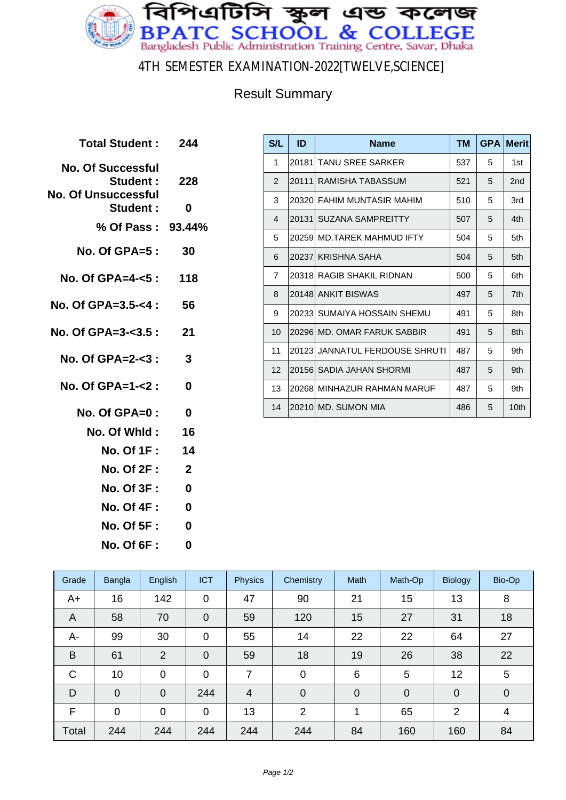

4TH SEMESTER EXAMINATION-2022[TWELVE,SCIENCE]

#### Result Summary

| Total Student: 244                   |                         |
|--------------------------------------|-------------------------|
| <b>No. Of Successful</b><br>Student: | 228                     |
| No. Of Unsuccessful<br>Student:      | 0                       |
| % Of Pass: 93.44%                    |                         |
| No. Of GPA=5 :                       | 30                      |
| No. Of GPA=4-<5 : 118                |                         |
| No. Of GPA=3.5-<4 :                  | 56                      |
| No. Of GPA=3- $3.5:21$               |                         |
| No. Of GPA=2-<3 :                    | $\overline{\mathbf{3}}$ |
| $No. Of GPA = 1 - 2:$                | 0                       |
| No. Of GPA=0 :                       | 0                       |
| No. Of Whid :                        | 16                      |
| No. Of 1F :                          | 14                      |
| <b>No. Of 2F :</b>                   | $\mathbf{2}$            |
| <b>No. Of 3F :</b>                   | 0                       |
| No. Of 4F :                          | 0                       |
| <b>No. Of 5F:</b>                    | 0                       |

**No. Of 6F : 0**

| S/L            | ID     | <b>Name</b>                    | TM  | <b>GPA</b> | <b>Merit</b> |
|----------------|--------|--------------------------------|-----|------------|--------------|
| 1              | 20181l | TANU SREE SARKER               | 537 | 5          | 1st          |
| 2              | 20111  | RAMISHA TABASSUM               | 521 | 5          | 2nd          |
| 3              | 203201 | <b>FAHIM MUNTASIR MAHIM</b>    | 510 | 5          | 3rd          |
| $\overline{4}$ | 20131  | <b>SUZANA SAMPREITTY</b>       | 507 | 5          | 4th          |
| 5              | 202591 | <b>MD.TAREK MAHMUD IFTY</b>    | 504 | 5          | 5th          |
| 6              |        | 20237 KRISHNA SAHA             | 504 | 5          | 5th          |
| $\overline{7}$ | 203181 | RAGIB SHAKIL RIDNAN            | 500 | 5          | 6th          |
| 8              |        | 20148 ANKIT BISWAS             | 497 | 5          | 7th          |
| 9              | 202331 | SUMAIYA HOSSAIN SHEMU          | 491 | 5          | 8th          |
| 10             |        | 20296 MD, OMAR FARUK SABBIR    | 491 | 5          | 8th          |
| 11             |        | 20123 JANNATUL FERDOUSE SHRUTI | 487 | 5          | 9th          |
| 12             |        | 20156 SADIA JAHAN SHORMI       | 487 | 5          | 9th          |
| 13             |        | 20268 MINHAZUR RAHMAN MARUF    | 487 | 5          | 9th          |
| 14             |        | 20210 MD, SUMON MIA            | 486 | 5          | 10th         |

| Grade          | Bangla      | English        | <b>ICT</b>     | <b>Physics</b> | Chemistry      | Math        | Math-Op        | <b>Biology</b> | Bio-Op          |
|----------------|-------------|----------------|----------------|----------------|----------------|-------------|----------------|----------------|-----------------|
| $A+$           | 16          | 142            | $\mathbf 0$    | 47             | 90             | 21          | 15             | 13             | 8               |
| $\overline{A}$ | 58          | 70             | $\overline{0}$ | 59             | 120            | 15          | 27             | 31             | 18              |
| A-             | 99          | 30             | $\mathbf 0$    | 55             | 14             | 22          | 22             | 64             | 27              |
| B              | 61          | $\overline{2}$ | $\mathbf 0$    | 59             | 18             | 19          | 26             | 38             | 22              |
| $\mathsf{C}$   | 10          | 0              | $\mathbf 0$    | 7              | $\mathbf 0$    | 6           | 5              | 12             | $5\phantom{.0}$ |
| D              | $\mathbf 0$ | $\overline{0}$ | 244            | $\overline{4}$ | $\overline{0}$ | $\mathbf 0$ | $\overline{0}$ | $\overline{0}$ | $\mathbf 0$     |
| F              | $\mathbf 0$ | $\mathbf 0$    | $\mathbf 0$    | 13             | $\overline{2}$ | 1           | 65             | $\overline{2}$ | $\overline{4}$  |
| Total          | 244         | 244            | 244            | 244            | 244            | 84          | 160            | 160            | 84              |